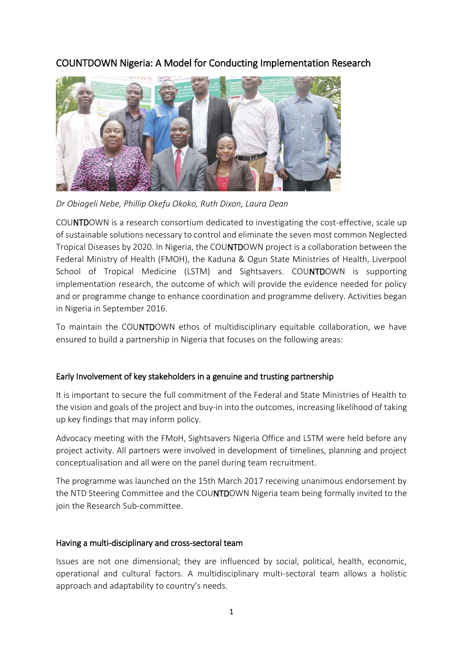# COUNTDOWN Nigeria: A Model for Conducting Implementation Research



*Dr Obiageli Nebe, Phillip Okefu Okoko, Ruth Dixon, Laura Dean*

COUNTDOWN is a research consortium dedicated to investigating the cost-effective, scale up of sustainable solutions necessary to control and eliminate the seven most common Neglected Tropical Diseases by 2020. In Nigeria, the COUNTDOWN project is a collaboration between the Federal Ministry of Health (FMOH), the Kaduna & Ogun State Ministries of Health, Liverpool School of Tropical Medicine (LSTM) and Sightsavers. COUNTDOWN is supporting implementation research, the outcome of which will provide the evidence needed for policy and or programme change to enhance coordination and programme delivery. Activities began in Nigeria in September 2016.

To maintain the COUNTDOWN ethos of multidisciplinary equitable collaboration, we have ensured to build a partnership in Nigeria that focuses on the following areas:

### Early Involvement of key stakeholders in a genuine and trusting partnership

It is important to secure the full commitment of the Federal and State Ministries of Health to the vision and goals of the project and buy-in into the outcomes, increasing likelihood of taking up key findings that may inform policy.

Advocacy meeting with the FMoH, Sightsavers Nigeria Office and LSTM were held before any project activity. All partners were involved in development of timelines, planning and project conceptualisation and all were on the panel during team recruitment.

The programme was launched on the 15th March 2017 receiving unanimous endorsement by the NTD Steering Committee and the COUNTDOWN Nigeria team being formally invited to the join the Research Sub-committee.

### Having a multi-disciplinary and cross-sectoral team

Issues are not one dimensional; they are influenced by social, political, health, economic, operational and cultural factors. A multidisciplinary multi-sectoral team allows a holistic approach and adaptability to country's needs.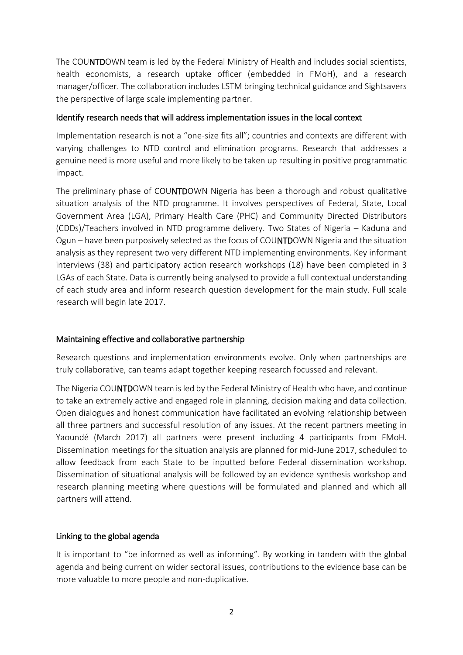The COUNTDOWN team is led by the Federal Ministry of Health and includes social scientists, health economists, a research uptake officer (embedded in FMoH), and a research manager/officer. The collaboration includes LSTM bringing technical guidance and Sightsavers the perspective of large scale implementing partner.

## Identify research needs that will address implementation issues in the local context

Implementation research is not a "one-size fits all"; countries and contexts are different with varying challenges to NTD control and elimination programs. Research that addresses a genuine need is more useful and more likely to be taken up resulting in positive programmatic impact.

The preliminary phase of COUNTDOWN Nigeria has been a thorough and robust qualitative situation analysis of the NTD programme. It involves perspectives of Federal, State, Local Government Area (LGA), Primary Health Care (PHC) and Community Directed Distributors (CDDs)/Teachers involved in NTD programme delivery. Two States of Nigeria – Kaduna and Ogun – have been purposively selected as the focus of COUNTDOWN Nigeria and the situation analysis as they represent two very different NTD implementing environments. Key informant interviews (38) and participatory action research workshops (18) have been completed in 3 LGAs of each State. Data is currently being analysed to provide a full contextual understanding of each study area and inform research question development for the main study. Full scale research will begin late 2017.

# Maintaining effective and collaborative partnership

Research questions and implementation environments evolve. Only when partnerships are truly collaborative, can teams adapt together keeping research focussed and relevant.

The Nigeria COUNTDOWN team is led by the Federal Ministry of Health who have, and continue to take an extremely active and engaged role in planning, decision making and data collection. Open dialogues and honest communication have facilitated an evolving relationship between all three partners and successful resolution of any issues. At the recent partners meeting in Yaoundé (March 2017) all partners were present including 4 participants from FMoH. Dissemination meetings for the situation analysis are planned for mid-June 2017, scheduled to allow feedback from each State to be inputted before Federal dissemination workshop. Dissemination of situational analysis will be followed by an evidence synthesis workshop and research planning meeting where questions will be formulated and planned and which all partners will attend.

# Linking to the global agenda

It is important to "be informed as well as informing". By working in tandem with the global agenda and being current on wider sectoral issues, contributions to the evidence base can be more valuable to more people and non-duplicative.